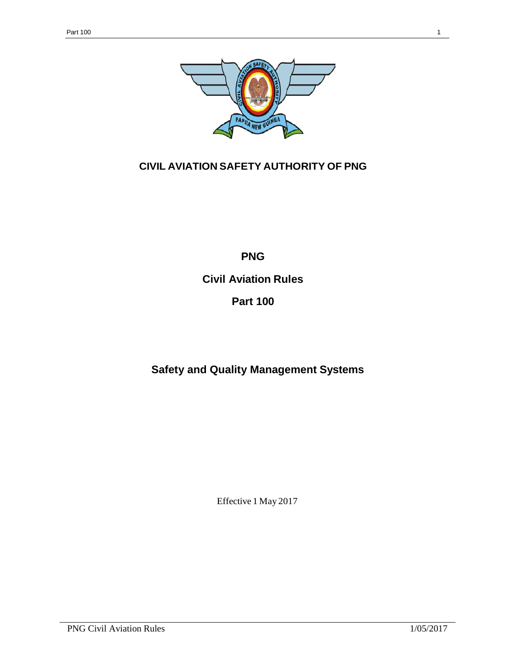

# **CIVIL AVIATION SAFETY AUTHORITY OF PNG**

**PNG**

**Civil Aviation Rules**

**Part 100**

**Safety and Quality Management Systems**

Effective 1 May 2017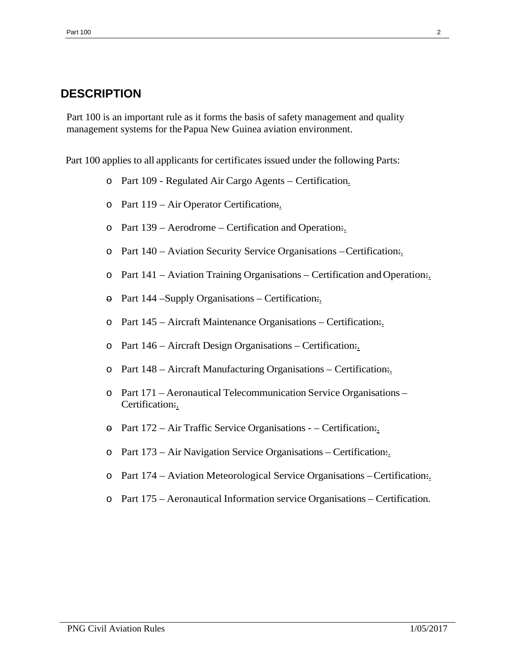# <span id="page-1-0"></span>**DESCRIPTION**

Part 100 is an important rule as it forms the basis of safety management and quality management systems for thePapua New Guinea aviation environment.

Part 100 applies to all applicants for certificates issued under the following Parts:

- o Part 109 Regulated Air Cargo Agents Certification.
- o Part 119 Air Operator Certification:.
- o Part 139 Aerodrome Certification and Operation:.
- o Part 140 Aviation Security Service Organisations –Certification:.
- $\circ$  Part 141 Aviation Training Organisations Certification and Operation.
- $\Theta$  Part 144 Supply Organisations Certification:
- o Part 145 Aircraft Maintenance Organisations Certification:.
- o Part 146 Aircraft Design Organisations Certification:.
- o Part 148 Aircraft Manufacturing Organisations Certification:.
- o Part 171 Aeronautical Telecommunication Service Organisations Certification:.
- $\Theta$  Part 172 Air Traffic Service Organisations – Certification.
- o Part 173 Air Navigation Service Organisations Certification:.
- o Part 174 Aviation Meteorological Service Organisations –Certification:.
- o Part 175 Aeronautical Information service Organisations Certification.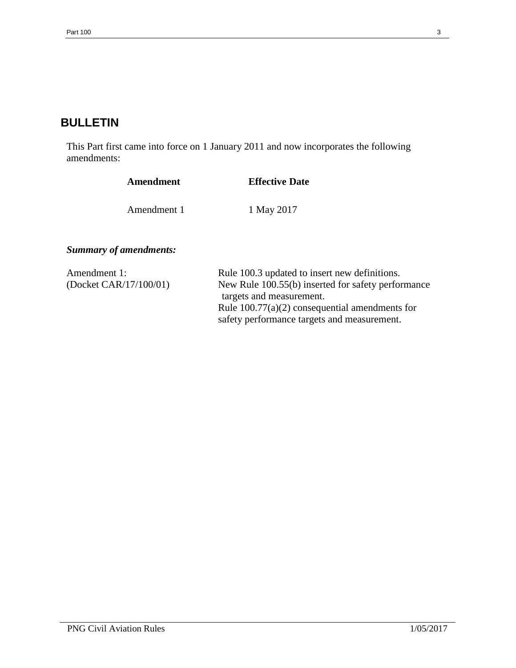# **BULLETIN**

This Part first came into force on 1 January 2011 and now incorporates the following amendments:

| Amendment                              | <b>Effective Date</b>                                                                                                                                                               |
|----------------------------------------|-------------------------------------------------------------------------------------------------------------------------------------------------------------------------------------|
| Amendment 1                            | 1 May 2017                                                                                                                                                                          |
| <b>Summary of amendments:</b>          |                                                                                                                                                                                     |
| Amendment 1:<br>(Docket CAR/17/100/01) | Rule 100.3 updated to insert new definitions.<br>New Rule 100.55(b) inserted for safety performance<br>targets and measurement.<br>Rule $100.77(a)(2)$ consequential amendments for |

safety performance targets and measurement.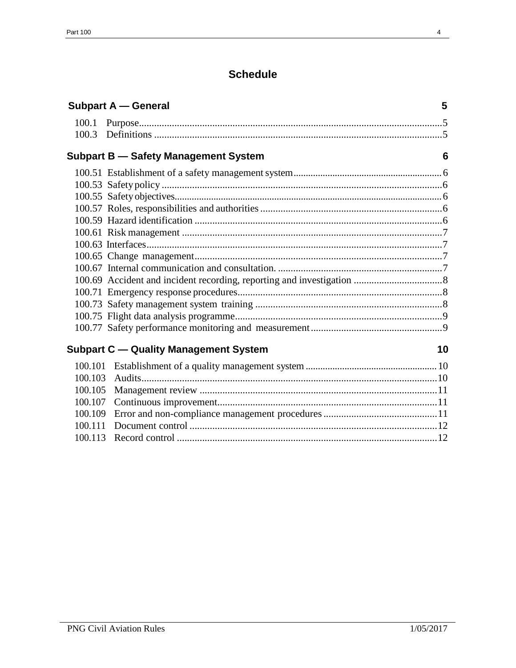# **Schedule**

| <b>Subpart A - General</b> |                                              | 5  |
|----------------------------|----------------------------------------------|----|
|                            |                                              |    |
|                            |                                              |    |
|                            | <b>Subpart B - Safety Management System</b>  | 6  |
|                            |                                              |    |
|                            |                                              |    |
|                            |                                              |    |
|                            |                                              |    |
|                            |                                              |    |
|                            |                                              |    |
|                            |                                              |    |
|                            |                                              |    |
|                            |                                              |    |
|                            |                                              |    |
|                            |                                              |    |
|                            |                                              |    |
|                            |                                              |    |
|                            |                                              |    |
|                            | <b>Subpart C - Quality Management System</b> | 10 |
|                            |                                              |    |
|                            |                                              |    |
| 100.105                    |                                              |    |
| 100.107                    |                                              |    |
| 100.109                    |                                              |    |
|                            |                                              |    |
|                            |                                              |    |
|                            |                                              |    |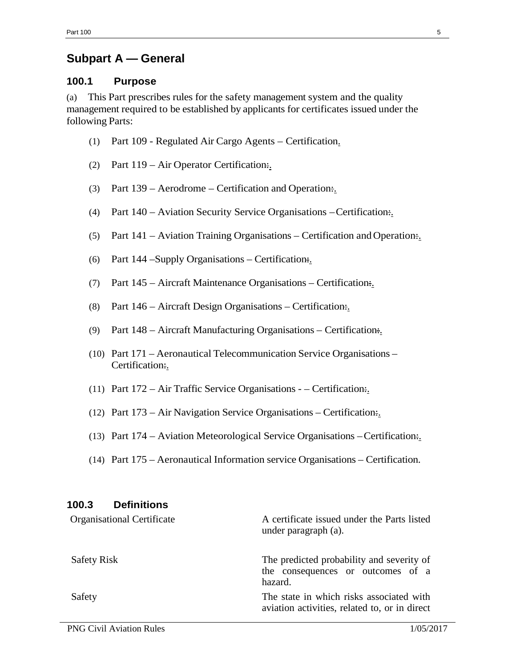# **Subpart A — General**

### <span id="page-4-0"></span>**100.1 Purpose**

(a) This Part prescribes rules for the safety management system and the quality management required to be established by applicants for certificates issued under the following Parts:

- (1) Part 109 Regulated Air Cargo Agents Certification.
- (2) Part 119 Air Operator Certification:.
- (3) Part  $139$  Aerodrome Certification and Operation.
- (4) Part 140 Aviation Security Service Organisations –Certification:.
- (5) Part  $141 -$  Aviation Training Organisations Certification and Operation.
- (6) Part 144 Supply Organisations Certification:
- (7) Part 145 Aircraft Maintenance Organisations Certification:.
- (8) Part 146 Aircraft Design Organisations Certification:.
- (9) Part 148 Aircraft Manufacturing Organisations Certification:.
- (10) Part 171 Aeronautical Telecommunication Service Organisations Certification:.
- (11) Part  $172 Air Traffic Service Organisation Certification.$
- (12) Part 173 Air Navigation Service Organisations Certification:.
- (13) Part  $174 -$  Aviation Meteorological Service Organisations Certification.
- (14) Part 175 Aeronautical Information service Organisations Certification.

<span id="page-4-1"></span>

| 100.3<br><b>Definitions</b>       |                                                                                           |
|-----------------------------------|-------------------------------------------------------------------------------------------|
| <b>Organisational Certificate</b> | A certificate issued under the Parts listed<br>under paragraph (a).                       |
| <b>Safety Risk</b>                | The predicted probability and severity of<br>the consequences or outcomes of a<br>hazard. |
| Safety                            | The state in which risks associated with<br>aviation activities, related to, or in direct |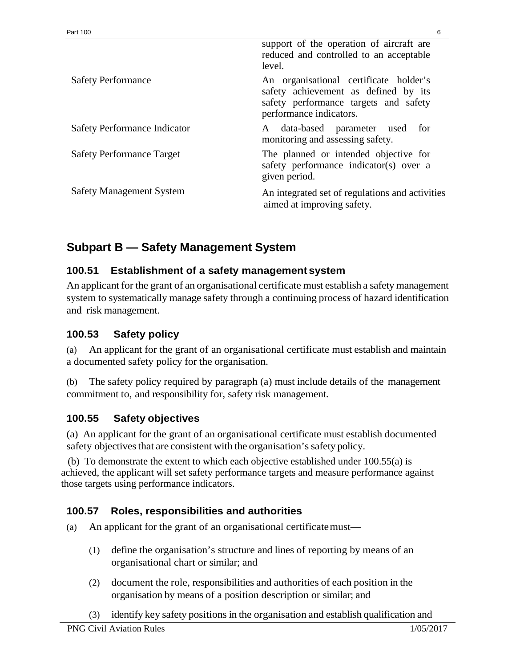|                                     | support of the operation of aircraft are<br>reduced and controlled to an acceptable<br>level.                                                      |
|-------------------------------------|----------------------------------------------------------------------------------------------------------------------------------------------------|
| <b>Safety Performance</b>           | An organisational certificate holder's<br>safety achievement as defined by its<br>safety performance targets and safety<br>performance indicators. |
| <b>Safety Performance Indicator</b> | A data-based parameter used for<br>monitoring and assessing safety.                                                                                |
| <b>Safety Performance Target</b>    | The planned or intended objective for<br>safety performance indicator(s) over a<br>given period.                                                   |
| <b>Safety Management System</b>     | An integrated set of regulations and activities<br>aimed at improving safety.                                                                      |

# <span id="page-5-0"></span>**Subpart B — Safety Management System**

## <span id="page-5-1"></span>**100.51 Establishment of a safety management system**

An applicant for the grant of an organisational certificate must establish a safety management system to systematically manage safety through a continuing process of hazard identification and risk management.

## <span id="page-5-2"></span>**100.53 Safety policy**

(a) An applicant for the grant of an organisational certificate must establish and maintain a documented safety policy for the organisation.

(b) The safety policy required by paragraph (a) must include details of the management commitment to, and responsibility for, safety risk management.

## <span id="page-5-3"></span>**100.55 Safety objectives**

(a) An applicant for the grant of an organisational certificate must establish documented safety objectives that are consistent with the organisation's safety policy.

 (b) To demonstrate the extent to which each objective established under 100.55(a) is achieved, the applicant will set safety performance targets and measure performance against those targets using performance indicators.

## <span id="page-5-4"></span>**100.57 Roles, responsibilities and authorities**

- (a) An applicant for the grant of an organisational certificatemust—
	- (1) define the organisation's structure and lines of reporting by means of an organisational chart or similar; and
	- (2) document the role, responsibilities and authorities of each position in the organisation by means of a position description or similar; and
	- (3) identify key safety positionsin the organisation and establish qualification and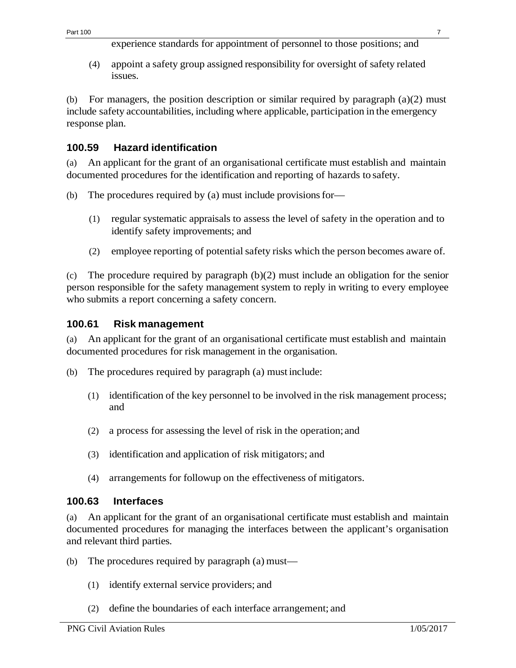experience standards for appointment of personnel to those positions; and

(4) appoint a safety group assigned responsibility for oversight of safety related issues.

(b) For managers, the position description or similar required by paragraph (a)(2) must include safety accountabilities, including where applicable, participation in the emergency response plan.

## <span id="page-6-0"></span>**100.59 Hazard identification**

(a) An applicant for the grant of an organisational certificate must establish and maintain documented procedures for the identification and reporting of hazards to safety.

- (b) The procedures required by (a) must include provisions for-
	- (1) regular systematic appraisals to assess the level of safety in the operation and to identify safety improvements; and
	- (2) employee reporting of potentialsafety risks which the person becomes aware of.

(c) The procedure required by paragraph (b)(2) must include an obligation for the senior person responsible for the safety management system to reply in writing to every employee who submits a report concerning a safety concern.

## <span id="page-6-1"></span>**100.61 Risk management**

(a) An applicant for the grant of an organisational certificate must establish and maintain documented procedures for risk management in the organisation.

- (b) The procedures required by paragraph (a) must include:
	- (1) identification of the key personnel to be involved in the risk management process; and
	- (2) a process for assessing the level of risk in the operation; and
	- (3) identification and application of risk mitigators; and
	- (4) arrangements for followup on the effectiveness of mitigators.

## <span id="page-6-2"></span>**100.63 Interfaces**

(a) An applicant for the grant of an organisational certificate must establish and maintain documented procedures for managing the interfaces between the applicant's organisation and relevant third parties.

- (b) The procedures required by paragraph (a) must—
	- (1) identify external service providers; and
	- (2) define the boundaries of each interface arrangement; and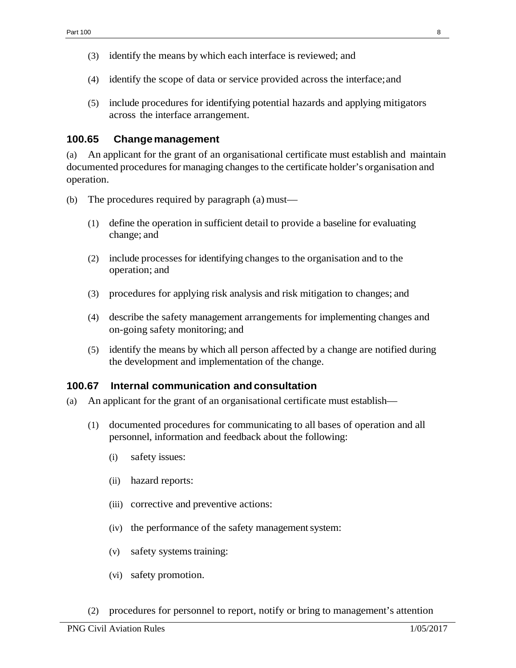- (3) identify the means by which each interface is reviewed; and
- (4) identify the scope of data or service provided across the interface;and
- (5) include procedures for identifying potential hazards and applying mitigators across the interface arrangement.

### <span id="page-7-0"></span>**100.65 Changemanagement**

(a) An applicant for the grant of an organisational certificate must establish and maintain documented procedures for managing changes to the certificate holder's organisation and operation.

- (b) The procedures required by paragraph (a) must—
	- (1) define the operation in sufficient detail to provide a baseline for evaluating change; and
	- (2) include processes for identifying changes to the organisation and to the operation; and
	- (3) procedures for applying risk analysis and risk mitigation to changes; and
	- (4) describe the safety management arrangements for implementing changes and on-going safety monitoring; and
	- (5) identify the means by which all person affected by a change are notified during the development and implementation of the change.

#### <span id="page-7-1"></span>**100.67 Internal communication and consultation**

- (a) An applicant for the grant of an organisational certificate must establish—
	- (1) documented procedures for communicating to all bases of operation and all personnel, information and feedback about the following:
		- (i) safety issues:
		- (ii) hazard reports:
		- (iii) corrective and preventive actions:
		- (iv) the performance of the safety management system:
		- (v) safety systems training:
		- (vi) safety promotion.
	- (2) procedures for personnel to report, notify or bring to management's attention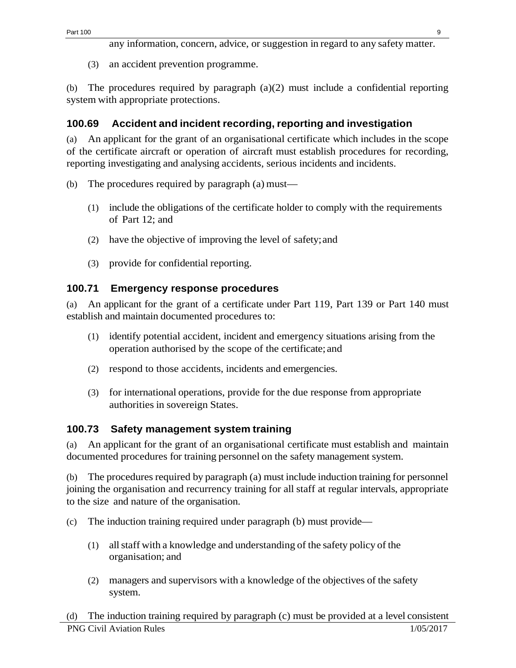any information, concern, advice, or suggestion in regard to any safety matter.

(3) an accident prevention programme.

(b) The procedures required by paragraph (a)(2) must include a confidential reporting system with appropriate protections.

## <span id="page-8-0"></span>**100.69 Accident and incident recording, reporting and investigation**

(a) An applicant for the grant of an organisational certificate which includes in the scope of the certificate aircraft or operation of aircraft must establish procedures for recording, reporting investigating and analysing accidents, serious incidents and incidents.

- (b) The procedures required by paragraph (a) must—
	- (1) include the obligations of the certificate holder to comply with the requirements of Part 12; and
	- (2) have the objective of improving the level of safety;and
	- (3) provide for confidential reporting.

## <span id="page-8-1"></span>**100.71 Emergency response procedures**

(a) An applicant for the grant of a certificate under Part 119, Part 139 or Part 140 must establish and maintain documented procedures to:

- (1) identify potential accident, incident and emergency situations arising from the operation authorised by the scope of the certificate; and
- (2) respond to those accidents, incidents and emergencies.
- (3) for international operations, provide for the due response from appropriate authorities in sovereign States.

## <span id="page-8-2"></span>**100.73 Safety management system training**

(a) An applicant for the grant of an organisational certificate must establish and maintain documented procedures for training personnel on the safety management system.

(b) The procedures required by paragraph (a) must include induction training for personnel joining the organisation and recurrency training for all staff at regular intervals, appropriate to the size and nature of the organisation.

- (c) The induction training required under paragraph (b) must provide—
	- (1) allstaff with a knowledge and understanding of the safety policy of the organisation; and
	- (2) managers and supervisors with a knowledge of the objectives of the safety system.

PNG Civil Aviation Rules 1/05/2017 (d) The induction training required by paragraph (c) must be provided at a level consistent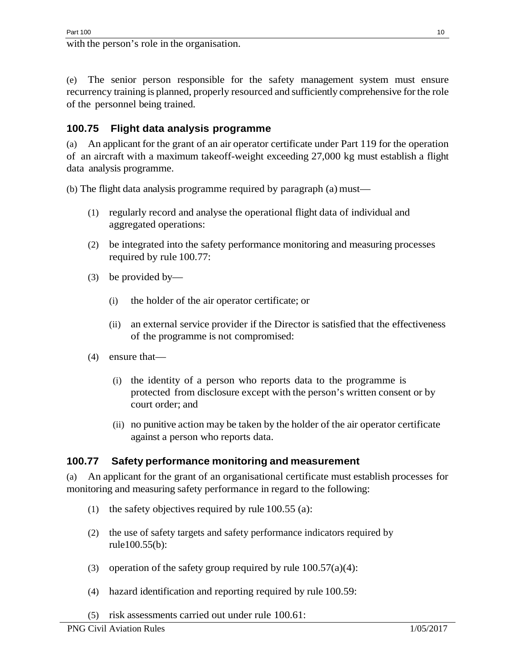with the person's role in the organisation.

(e) The senior person responsible for the safety management system must ensure recurrency training is planned, properly resourced and sufficiently comprehensive for the role of the personnel being trained.

# <span id="page-9-0"></span>**100.75 Flight data analysis programme**

(a) An applicant for the grant of an air operator certificate under Part 119 for the operation of an aircraft with a maximum takeoff-weight exceeding 27,000 kg must establish a flight data analysis programme.

(b) The flight data analysis programme required by paragraph (a) must—

- (1) regularly record and analyse the operational flight data of individual and aggregated operations:
- (2) be integrated into the safety performance monitoring and measuring processes required by rule 100.77:
- (3) be provided by—
	- (i) the holder of the air operator certificate; or
	- (ii) an external service provider if the Director is satisfied that the effectiveness of the programme is not compromised:
- (4) ensure that—
	- (i) the identity of a person who reports data to the programme is protected from disclosure except with the person's written consent or by court order; and
	- (ii) no punitive action may be taken by the holder of the air operator certificate against a person who reports data.

## <span id="page-9-1"></span>**100.77 Safety performance monitoring and measurement**

(a) An applicant for the grant of an organisational certificate must establish processes for monitoring and measuring safety performance in regard to the following:

- (1) the safety objectives required by rule  $100.55$  (a):
- (2) the use of safety targets and safety performance indicators required by rule100.55(b):
- (3) operation of the safety group required by rule  $100.57(a)(4)$ :
- (4) hazard identification and reporting required by rule 100.59:
- (5) risk assessments carried out under rule 100.61: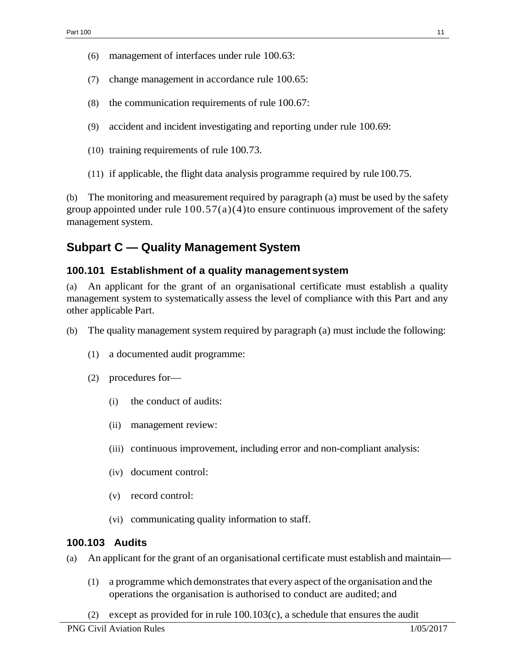- (6) management of interfaces under rule 100.63:
- (7) change management in accordance rule 100.65:
- (8) the communication requirements of rule 100.67:
- (9) accident and incident investigating and reporting under rule 100.69:
- (10) training requirements of rule 100.73.
- $(11)$  if applicable, the flight data analysis programme required by rule 100.75.

The monitoring and measurement required by paragraph (a) must be used by the safety group appointed under rule  $100.57(a)(4)$  to ensure continuous improvement of the safety management system.

# <span id="page-10-0"></span>**Subpart C — Quality Management System**

### <span id="page-10-1"></span>**100.101 Establishment of a quality managementsystem**

(a) An applicant for the grant of an organisational certificate must establish a quality management system to systematically assess the level of compliance with this Part and any other applicable Part.

- (b) The quality management system required by paragraph (a) must include the following:
	- (1) a documented audit programme:
	- (2) procedures for—
		- (i) the conduct of audits:
		- (ii) management review:
		- (iii) continuous improvement, including error and non-compliant analysis:
		- (iv) document control:
		- (v) record control:
		- (vi) communicating quality information to staff.

### <span id="page-10-2"></span>**100.103 Audits**

- (a) An applicant for the grant of an organisational certificate must establish and maintain—
	- (1) a programme which demonstratesthat every aspect ofthe organisation and the operations the organisation is authorised to conduct are audited; and
	- (2) except as provided for in rule  $100.103(c)$ , a schedule that ensures the audit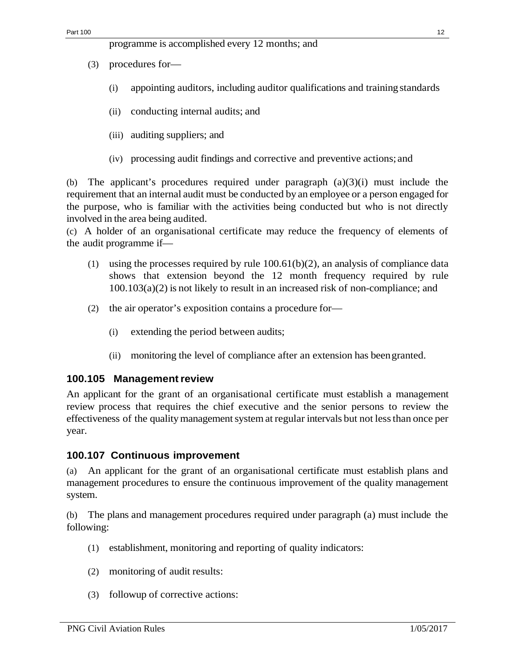- (3) procedures for—
	- (i) appointing auditors, including auditor qualifications and training standards
	- (ii) conducting internal audits; and
	- (iii) auditing suppliers; and
	- (iv) processing audit findings and corrective and preventive actions; and

(b) The applicant's procedures required under paragraph (a)(3)(i) must include the requirement that an internal audit must be conducted by an employee or a person engaged for the purpose, who is familiar with the activities being conducted but who is not directly involved in the area being audited.

(c) A holder of an organisational certificate may reduce the frequency of elements of the audit programme if—

- (1) using the processes required by rule 100.61(b)(2), an analysis of compliance data shows that extension beyond the 12 month frequency required by rule  $100.103(a)(2)$  is not likely to result in an increased risk of non-compliance; and
- (2) the air operator's exposition contains a procedure for—
	- (i) extending the period between audits;
	- (ii) monitoring the level of compliance after an extension has beengranted.

### <span id="page-11-0"></span>**100.105 Managementreview**

An applicant for the grant of an organisational certificate must establish a management review process that requires the chief executive and the senior persons to review the effectiveness of the quality management system at regular intervals but not less than once per year.

## <span id="page-11-1"></span>**100.107 Continuous improvement**

(a) An applicant for the grant of an organisational certificate must establish plans and management procedures to ensure the continuous improvement of the quality management system.

(b) The plans and management procedures required under paragraph (a) must include the following:

- (1) establishment, monitoring and reporting of quality indicators:
- (2) monitoring of audit results:
- (3) followup of corrective actions: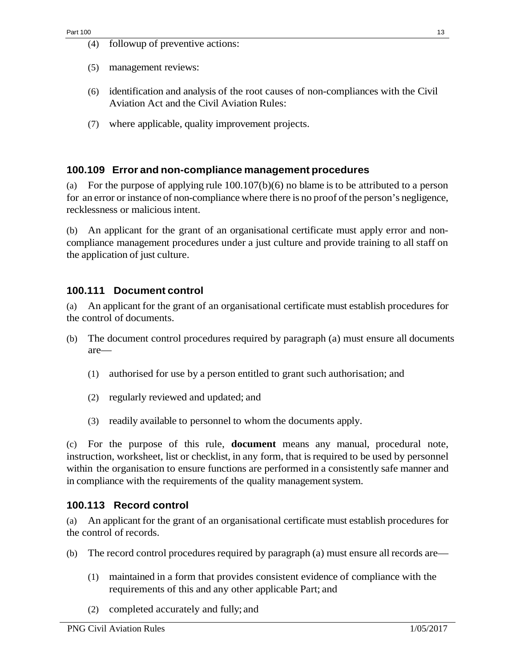(4) followup of preventive actions:

- (5) management reviews:
- (6) identification and analysis of the root causes of non-compliances with the Civil Aviation Act and the Civil Aviation Rules:
- (7) where applicable, quality improvement projects.

### <span id="page-12-0"></span>**100.109 Error and non-compliance management procedures**

(a) For the purpose of applying rule 100.107(b)(6) no blame is to be attributed to a person for an error or instance of non-compliance where there is no proof ofthe person's negligence, recklessness or malicious intent.

(b) An applicant for the grant of an organisational certificate must apply error and noncompliance management procedures under a just culture and provide training to all staff on the application of just culture.

### <span id="page-12-1"></span>**100.111 Document control**

(a) An applicant for the grant of an organisational certificate must establish procedures for the control of documents.

- (b) The document control procedures required by paragraph (a) must ensure all documents are—
	- (1) authorised for use by a person entitled to grant such authorisation; and
	- (2) regularly reviewed and updated; and
	- (3) readily available to personnel to whom the documents apply.

(c) For the purpose of this rule, **document** means any manual, procedural note, instruction, worksheet, list or checklist, in any form, that is required to be used by personnel within the organisation to ensure functions are performed in a consistently safe manner and in compliance with the requirements of the quality management system.

### **100.113 Record control**

(a) An applicant for the grant of an organisational certificate must establish procedures for the control of records.

- (b) The record control procedures required by paragraph (a) must ensure all records are—
	- (1) maintained in a form that provides consistent evidence of compliance with the requirements of this and any other applicable Part; and
	- (2) completed accurately and fully; and